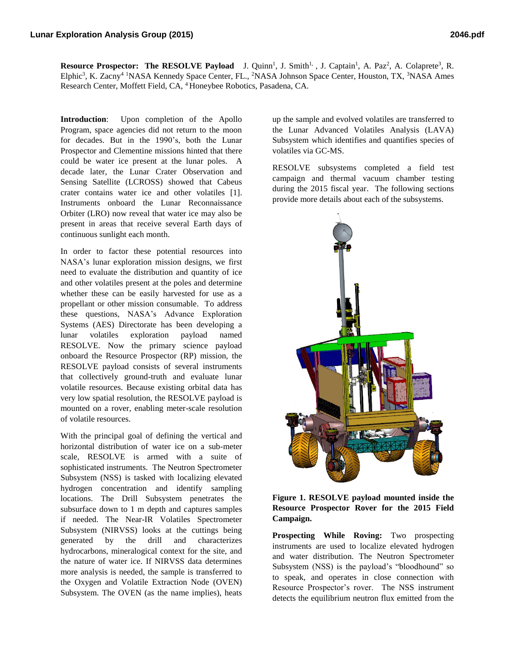**Resource Prospector: The RESOLVE Payload** J. Quinn<sup>1</sup>, J. Smith<sup>1,</sup> , J. Captain<sup>1</sup>, A. Paz<sup>2</sup>, A. Colaprete<sup>3</sup>, R. Elphic<sup>3</sup>, K. Zacny<sup>4</sup> <sup>1</sup>NASA Kennedy Space Center, FL., <sup>2</sup>NASA Johnson Space Center, Houston, TX, <sup>3</sup>NASA Ames Research Center, Moffett Field, CA, <sup>4</sup>Honeybee Robotics, Pasadena, CA.

**Introduction**: Upon completion of the Apollo Program, space agencies did not return to the moon for decades. But in the 1990's, both the Lunar Prospector and Clementine missions hinted that there could be water ice present at the lunar poles. A decade later, the Lunar Crater Observation and Sensing Satellite (LCROSS) showed that Cabeus crater contains water ice and other volatiles [1]. Instruments onboard the Lunar Reconnaissance Orbiter (LRO) now reveal that water ice may also be present in areas that receive several Earth days of continuous sunlight each month.

In order to factor these potential resources into NASA's lunar exploration mission designs, we first need to evaluate the distribution and quantity of ice and other volatiles present at the poles and determine whether these can be easily harvested for use as a propellant or other mission consumable. To address these questions, NASA's Advance Exploration Systems (AES) Directorate has been developing a lunar volatiles exploration payload named RESOLVE. Now the primary science payload onboard the Resource Prospector (RP) mission, the RESOLVE payload consists of several instruments that collectively ground-truth and evaluate lunar volatile resources. Because existing orbital data has very low spatial resolution, the RESOLVE payload is mounted on a rover, enabling meter-scale resolution of volatile resources.

With the principal goal of defining the vertical and horizontal distribution of water ice on a sub-meter scale, RESOLVE is armed with a suite of sophisticated instruments. The Neutron Spectrometer Subsystem (NSS) is tasked with localizing elevated hydrogen concentration and identify sampling locations. The Drill Subsystem penetrates the subsurface down to 1 m depth and captures samples if needed. The Near-IR Volatiles Spectrometer Subsystem (NIRVSS) looks at the cuttings being generated by the drill and characterizes hydrocarbons, mineralogical context for the site, and the nature of water ice. If NIRVSS data determines more analysis is needed, the sample is transferred to the Oxygen and Volatile Extraction Node (OVEN) Subsystem. The OVEN (as the name implies), heats up the sample and evolved volatiles are transferred to the Lunar Advanced Volatiles Analysis (LAVA) Subsystem which identifies and quantifies species of volatiles via GC-MS.

RESOLVE subsystems completed a field test campaign and thermal vacuum chamber testing during the 2015 fiscal year. The following sections provide more details about each of the subsystems.



## **Figure 1. RESOLVE payload mounted inside the Resource Prospector Rover for the 2015 Field Campaign.**

**Prospecting While Roving:** Two prospecting instruments are used to localize elevated hydrogen and water distribution. The Neutron Spectrometer Subsystem (NSS) is the payload's "bloodhound" so to speak, and operates in close connection with Resource Prospector's rover. The NSS instrument detects the equilibrium neutron flux emitted from the